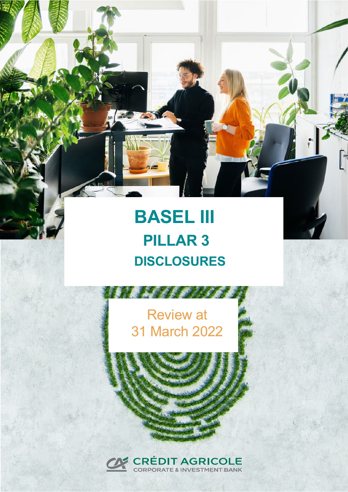# **BASEL III PILLAR 3 3 DDISCLOSURES**

## Review at 31 March 2022

**REAL PARTS** 

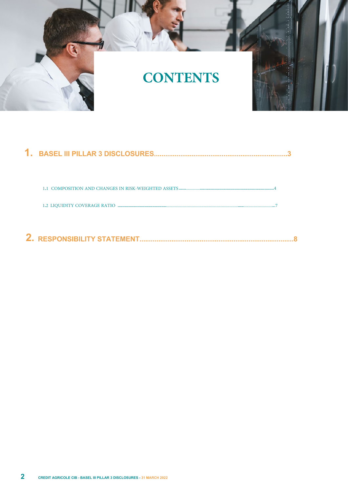

| <b>BASEL III PILLAR 3 DISCLOSURES</b> |  |
|---------------------------------------|--|
|                                       |  |
|                                       |  |
|                                       |  |
|                                       |  |
| <b>RESPONSIBILITY STATEMENT.</b>      |  |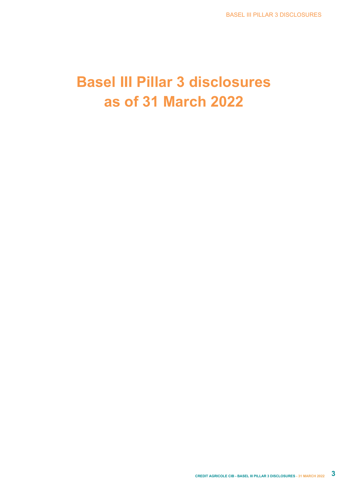## **Basel III Pillar 3 disclosures as of 31 March 2022**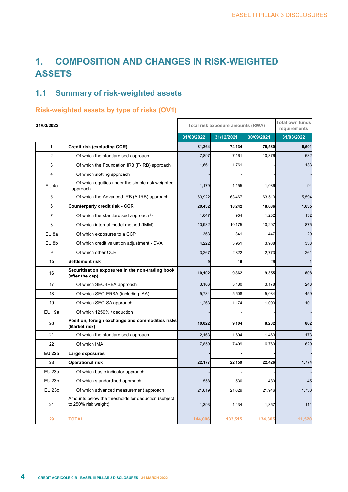## **1. COMPOSITION AND CHANGES IN RISK-WEIGHTED ASSETS**

## **1.1 Summary of risk-weighted assets**

## **Risk-weighted assets by type of risks (OV1)**

| 31/03/2022       |                                                                             | Total risk exposure amounts (RWA) | <b>Total own funds</b><br>requirements |            |            |
|------------------|-----------------------------------------------------------------------------|-----------------------------------|----------------------------------------|------------|------------|
|                  |                                                                             | 31/03/2022                        | 31/12/2021                             | 30/09/2021 | 31/03/2022 |
| 1                | Credit risk (excluding CCR)                                                 | 81,264                            | 74,134                                 | 75,580     | 6,501      |
| $\overline{2}$   | Of which the standardised approach                                          | 7,897                             | 7,161                                  | 10,376     | 632        |
| 3                | Of which the Foundation IRB (F-IRB) approach                                | 1,661                             | 1,761                                  |            | 133        |
| 4                | Of which slotting approach                                                  |                                   |                                        |            |            |
| EU 4a            | Of which equities under the simple risk weighted<br>approach                | 1,179                             | 1,155                                  | 1,086      | 94         |
| 5                | Of which the Advanced IRB (A-IRB) approach                                  | 69,922                            | 63,467                                 | 63,513     | 5,594      |
| 6                | <b>Counterparty credit risk - CCR</b>                                       | 20,432                            | 18,242                                 | 18,686     | 1,635      |
| $\overline{7}$   | Of which the standardised approach (1)                                      | 1,647                             | 954                                    | 1,232      | 132        |
| 8                | Of which internal model method (IMM)                                        | 10,932                            | 10,175                                 | 10,297     | 875        |
| EU 8a            | Of which exposures to a CCP                                                 | 363                               | 341                                    | 447        | 29         |
| EU <sub>8b</sub> | Of which credit valuation adjustment - CVA                                  | 4,222                             | 3,951                                  | 3,938      | 338        |
| 9                | Of which other CCR                                                          | 3,267                             | 2,822                                  | 2,773      | 261        |
| 15               | Settlement risk                                                             | q                                 | 15                                     | 26         | 1          |
| 16               | Securitisation exposures in the non-trading book<br>(after the cap)         | 10,102                            | 9,862                                  | 9,355      | 808        |
| 17               | Of which SEC-IRBA approach                                                  | 3,106                             | 3,180                                  | 3,178      | 248        |
| 18               | Of which SEC-ERBA (including IAA)                                           | 5,734                             | 5,508                                  | 5,084      | 459        |
| 19               | Of which SEC-SA approach                                                    |                                   | 1,174                                  | 1,093      | 101        |
| <b>EU 19a</b>    | Of which 1250% / deduction                                                  |                                   |                                        |            |            |
| 20               | Position, foreign exchange and commodities risks<br>(Market risk)           | 10,022                            | 9,104                                  | 8,232      | 802        |
| 21               | Of which the standardised approach                                          | 2,163                             | 1,694                                  | 1,463      | 173        |
| 22               | Of which IMA                                                                | 7,859                             | 7,409                                  | 6,769      | 629        |
| <b>EU 22a</b>    | Large exposures                                                             |                                   |                                        |            |            |
| 23               | <b>Operational risk</b>                                                     | 22,177                            | 22,159                                 | 22,426     | 1,774      |
| <b>EU 23a</b>    | Of which basic indicator approach                                           |                                   |                                        |            |            |
| <b>EU 23b</b>    | Of which standardised approach                                              | 558                               | 530                                    | 480        | 45         |
| <b>EU 23c</b>    | Of which advanced measurement approach                                      | 21,619                            | 21,629                                 | 21,946     | 1,730      |
| 24               | Amounts below the thresholds for deduction (subject<br>to 250% risk weight) | 1,393                             | 1,434                                  | 1,357      | 111        |
| 29               | <b>TOTAL</b>                                                                | 144,006                           | 133,515                                | 134,305    | 11,520     |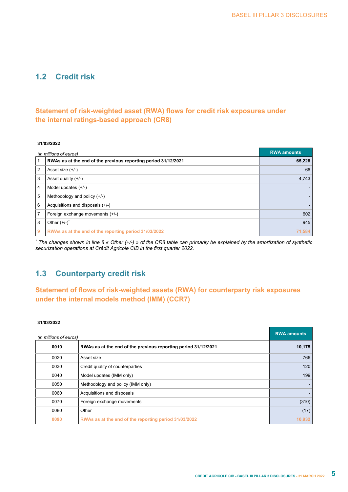## **1.2 Credit risk**

#### **Statement of risk-weighted asset (RWA) flows for credit risk exposures under the internal ratings-based approach (CR8)**

#### **31/03/2022**

|                | (in millions of euros)                                         | <b>RWA amounts</b> |
|----------------|----------------------------------------------------------------|--------------------|
| 1              | RWAs as at the end of the previous reporting period 31/12/2021 | 65,228             |
| 2              | Asset size (+/-)                                               | 66                 |
| 3              | Asset quality $(+/-)$                                          | 4,743              |
| $\overline{4}$ | Model updates $(+/-)$                                          |                    |
| 5              | Methodology and policy $(+/-)$                                 |                    |
| 6              | Acquisitions and disposals (+/-)                               |                    |
| 7              | Foreign exchange movements (+/-)                               | 602                |
| 8              | Other $(+/-)$                                                  | 945                |
| 9              | RWAs as at the end of the reporting period 31/03/2022          | 71.584             |

*\* The changes shown in line 8 « Other (+/-) » of the CR8 table can primarily be explained by the amortization of synthetic securization operations at Crédit Agricole CIB in the first quarter 2022.*

### **1.3 Counterparty credit risk**

#### **Statement of flows of risk-weighted assets (RWA) for counterparty risk exposures under the internal models method (IMM) (CCR7)**

#### **31/03/2022**

| (in millions of euros) |                                                                | <b>RWA amounts</b> |
|------------------------|----------------------------------------------------------------|--------------------|
| 0010                   | RWAs as at the end of the previous reporting period 31/12/2021 | 10,175             |
| 0020                   | Asset size                                                     | 766                |
| 0030                   | Credit quality of counterparties                               | 120                |
| 0040                   | Model updates (IMM only)                                       | 199                |
| 0050                   | Methodology and policy (IMM only)                              |                    |
| 0060                   | Acquisitions and disposals                                     |                    |
| 0070                   | Foreign exchange movements                                     | (310)              |
| 0080                   | Other                                                          | (17)               |
| 0090                   | RWAs as at the end of the reporting period 31/03/2022          | 10,932             |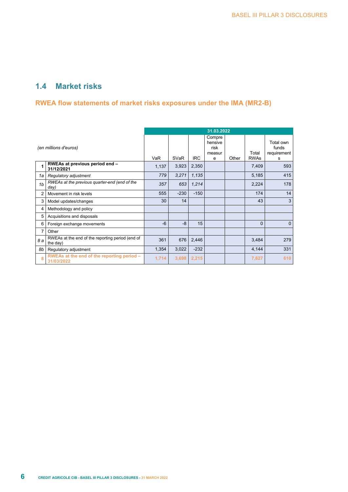### **1.4 Market risks**

#### **RWEA flow statements of market risks exposures under the IMA (MR2-B)**

|                       |                                                              | 31.03.2022 |        |            |                                          |       |                      |                                        |
|-----------------------|--------------------------------------------------------------|------------|--------|------------|------------------------------------------|-------|----------------------|----------------------------------------|
| (en millions d'euros) |                                                              | VaR        | SVaR   | <b>IRC</b> | Compre<br>hensive<br>risk<br>measur<br>e | Other | Total<br><b>RWAs</b> | Total own<br>funds<br>requirement<br>s |
| 1                     | RWEAs at previous period end -<br>31/12/2021                 | 1,137      | 3,923  | 2,350      |                                          |       | 7,409                | 593                                    |
| 1a                    | Regulatory adjustment                                        | 779        | 3,271  | 1,135      |                                          |       | 5,185                | 415                                    |
| 1 <sub>b</sub>        | RWEAs at the previous quarter-end (end of the<br>day)        | 357        | 653    | 1,214      |                                          |       | 2,224                | 178                                    |
| $\overline{2}$        | Movement in risk levels                                      | 555        | $-230$ | $-150$     |                                          |       | 174                  | 14                                     |
| 3                     | Model updates/changes                                        | 30         | 14     |            |                                          |       | 43                   | 3                                      |
| 4                     | Methodology and policy                                       |            |        |            |                                          |       |                      |                                        |
| 5                     | Acquisitions and disposals                                   |            |        |            |                                          |       |                      |                                        |
| 6                     | Foreign exchange movements                                   | $-6$       | $-8$   | 15         |                                          |       | $\Omega$             | $\Omega$                               |
| $\overline{7}$        | Other                                                        |            |        |            |                                          |       |                      |                                        |
| 8а                    | RWEAs at the end of the reporting period (end of<br>the day) | 361        | 676    | 2,446      |                                          |       | 3,484                | 279                                    |
| 8b                    | Regulatory adjustment                                        | 1,354      | 3,022  | $-232$     |                                          |       | 4,144                | 331                                    |
| 8                     | RWEAs at the end of the reporting period -<br>31/03/2022     | 1,714      | 3,698  | 2,215      |                                          |       | 7,627                | 610                                    |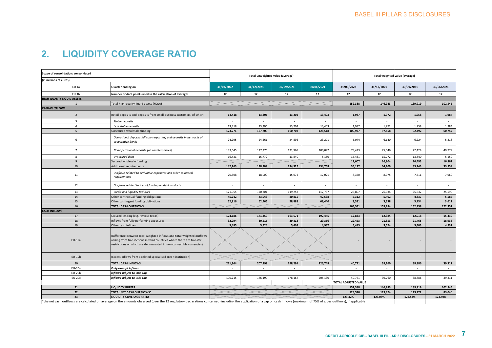## **2. LIQUIDITY COVERAGE RATIO**

| Scope of consolidation: consolidated |                                                                                                                                                                                                                         |            | Total unweighted value (average) |                          |            |                          | Total weighted value (average) |                          |                          |  |
|--------------------------------------|-------------------------------------------------------------------------------------------------------------------------------------------------------------------------------------------------------------------------|------------|----------------------------------|--------------------------|------------|--------------------------|--------------------------------|--------------------------|--------------------------|--|
| (in millions of euros)               |                                                                                                                                                                                                                         |            |                                  |                          |            |                          |                                |                          |                          |  |
| EU 1a                                | Quarter ending on                                                                                                                                                                                                       | 31/03/2022 | 31/12/2021                       | 30/09/2021               | 30/06/2021 | 31/03/2022               | 31/12/2021                     | 30/09/2021               | 30/06/2021               |  |
| EU 1b                                | Number of data points used in the calculation of averages                                                                                                                                                               | 12         | 12                               | 12                       | 12         | 12                       | 12                             | 12                       | 12                       |  |
| <b>HIGH-QUALITY LIQUID ASSETS</b>    |                                                                                                                                                                                                                         |            |                                  |                          |            |                          |                                |                          |                          |  |
| $\mathbf{1}$                         | Total high-quality liquid assets (HQLA)                                                                                                                                                                                 |            |                                  |                          |            | 152,388                  | 146,983                        | 139,919                  | 102,545                  |  |
| <b>CASH-OUTFLOWS</b>                 |                                                                                                                                                                                                                         |            |                                  |                          |            |                          |                                |                          |                          |  |
| $\overline{2}$                       | Retail deposits and deposits from small business customers, of which:                                                                                                                                                   | 13,418     | 13,306                           | 13,202                   | 13,403     | 1,987                    | 1,972                          | 1,958                    | 1,984                    |  |
| $\overline{\mathbf{3}}$              | Stable deposits                                                                                                                                                                                                         | $\sim$     | $\sim$                           | $\sim$                   | $\sim$     | $\sim$                   | $\sim$                         | $\sim$                   | $\sim$                   |  |
| $\overline{4}$                       | Less stable deposits                                                                                                                                                                                                    | 13,418     | 13,306                           | 13,202                   | 13,403     | 1,987                    | 1,972                          | 1,958                    | 1,984                    |  |
| 5                                    | Unsecured wholesale funding                                                                                                                                                                                             | 173,771    | 167,709                          | 160,703                  | 128,518    | 100,927                  | 97,458                         | 92,492                   | 60,747                   |  |
| 6                                    | Operational deposits (all counterparties) and deposits in networks of<br>cooperative banks                                                                                                                              | 24,295     | 24,561                           | 24,895                   | 23,271     | 6,074                    | 6,140                          | 6,224                    | 5,818                    |  |
| $\overline{7}$                       | Non-operational deposits (all counterparties)                                                                                                                                                                           | 133,045    | 127,376                          | 121,968                  | 100,097    | 78,423                   | 75,546                         | 72,429                   | 49,779                   |  |
| 8                                    | Unsecured debt                                                                                                                                                                                                          | 16,431     | 15,772                           | 13,840                   | 5,150      | 16,431                   | 15,772                         | 13,840                   | 5,150                    |  |
| 9                                    | Secured wholesale funding                                                                                                                                                                                               |            |                                  |                          |            | 17,607                   | 16,904                         | 16,493                   | 16,862                   |  |
| 10                                   | Additional requirements                                                                                                                                                                                                 | 142,263    | 138,309                          | 134,325                  | 134,758    | 35,177                   | 34,109                         | 33,243                   | 33,559                   |  |
| 11                                   | Outflows related to derivative exposures and other collateral<br>requirements                                                                                                                                           | 20,308     | 18,009                           | 15,072                   | 17,021     | 8,370                    | 8,075                          | 7,611                    | 7,960                    |  |
| 12                                   | Outflows related to loss of funding on debt products                                                                                                                                                                    | $\sim$     |                                  |                          | $\sim$     | ÷                        | $\sim$                         |                          | $\sim$                   |  |
| 13                                   | Credit and liquidity facilities                                                                                                                                                                                         | 121,955    | 120,301                          | 119,253                  | 117,737    | 26,807                   | 26,034                         | 25,632                   | 25,599                   |  |
| 14                                   | Other contractual funding obligations                                                                                                                                                                                   | 45,242     | 43,043                           | 40,815                   | 42,538     | 5,312                    | 5,402                          | 4,837                    | 5,587                    |  |
| 15                                   | Other contingent funding obligations                                                                                                                                                                                    | 62,816     | 62,965                           | 58,888                   | 68,440     | 3,331                    | 3,338                          | 3,134                    | 3,612                    |  |
| 16                                   | <b>TOTAL CASH OUTFLOWS</b>                                                                                                                                                                                              |            |                                  |                          |            | 164,341                  | 159,184                        | 152,158                  | 122,351                  |  |
| <b>CASH-INFLOWS</b>                  |                                                                                                                                                                                                                         |            |                                  |                          |            |                          |                                |                          |                          |  |
| 17                                   | Secured lending (e.g. reverse repos)                                                                                                                                                                                    | 174,186    | 171,359                          | 163,571                  | 192,445    | 12,833                   | 12,384                         | 12,018                   | 15,439                   |  |
| 18                                   | Inflows from fully performing exposures                                                                                                                                                                                 | 32,294     | 30,516                           | 29,318                   | 29,366     | 22,453                   | 21,853                         | 21,465                   | 18,936                   |  |
| 19                                   | Other cash inflows                                                                                                                                                                                                      | 5,485      | 5,524                            | 5,403                    | 4.937      | 5,485                    | 5,524                          | 5,403                    | 4.937                    |  |
| EU-19a                               | (Difference between total weighted inflows and total weighted outflows<br>arising from transactions in third countries where there are transfer<br>restrictions or which are denominated in non-convertible currencies) |            |                                  |                          |            |                          |                                |                          |                          |  |
| EU-19b                               | (Excess inflows from a related specialised credit institution)                                                                                                                                                          |            |                                  |                          |            | $\overline{\phantom{a}}$ | $\overline{\phantom{a}}$       | $\overline{\phantom{a}}$ | $\overline{\phantom{a}}$ |  |
| 20                                   | TOTAL CASH INFLOWS                                                                                                                                                                                                      | 211,964    | 207,399                          | 198,291                  | 226,748    | 40,771                   | 39,760                         | 38,886                   | 39,311                   |  |
| EU-20a                               | <b>Fully exempt inflows</b>                                                                                                                                                                                             | $\sim$     | $\sim$                           | $\overline{\phantom{a}}$ | $\sim$     | $\sim$                   | $\sim$                         | $\sim$                   | $\sim$                   |  |
| EU-20b                               | Inflows subject to 90% cap                                                                                                                                                                                              | $\sim$     | $\sim$                           | $\sim$                   | $\sim$     | $\sim$                   | $\sim$                         | $\sim$                   | $\sim$                   |  |
| <b>EU-20c</b>                        | Inflows subject to 75% cap                                                                                                                                                                                              | 190,215    | 186,190                          | 178,167                  | 205,130    | 40,771                   | 39,760                         | 38,886                   | 39,311                   |  |
|                                      |                                                                                                                                                                                                                         |            |                                  |                          |            | TOTAL ADJUSTED VALUE     |                                |                          |                          |  |
| 21                                   | <b>LIQUIDITY BUFFER</b>                                                                                                                                                                                                 |            |                                  |                          |            | 152,388                  | 146,983                        | 139,919                  | 102,545                  |  |
| 22                                   | TOTAL NET CASH OUTFLOWS*                                                                                                                                                                                                |            |                                  |                          |            | 123,570                  | 119,424                        | 113,272                  | 83,040                   |  |
| 23                                   | <b>LIQUIDITY COVERAGE RATIO</b>                                                                                                                                                                                         |            |                                  |                          |            | 123.32%                  | 123.08%                        | 123.53%                  | 123.49%                  |  |

\*the net cash outflows are calculated on average on the amounts observed (over the 12 regulatory declarations concerned) including the application of <sup>a</sup> cap on cash inflows (maximum of 75% of gross outflows), if applicable